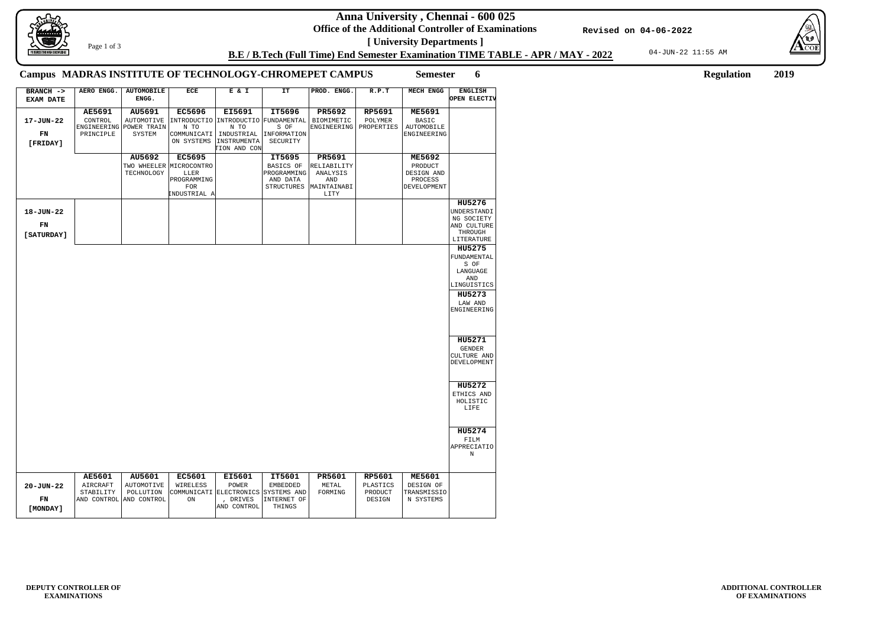**Anna University , Chennai - 600 025**

**Office of the Additional Controller of Examinations [ University Departments ]**

04-JUN-22 11:55 AM





**ADDITIONAL CONTROLLER OF EXAMINATIONS**

**B.E / B.Tech (Full Time) End Semester Examination TIME TABLE - APR / MAY - 2022**

**Revised on 04-06-2022**

Page 1 of 3

**Semester 6 Regulation 2019**

## **Campus MADRAS INSTITUTE OF TECHNOLOGY-CHROMEPET CAMPUS**

| $BRANCH$ -><br><b>EXAM DATE</b> | AERO ENGG.                                     | <b>AUTOMOBILE</b><br>ENGG.                       | ECE                                                                   | E & I                                                                                    | IT                                                                         | PROD. ENGG.                                           | R.P.T                                          | <b>MECH ENGG</b>                                       | <b>ENGLISH</b><br>OPEN ELECTIV                                                                      |
|---------------------------------|------------------------------------------------|--------------------------------------------------|-----------------------------------------------------------------------|------------------------------------------------------------------------------------------|----------------------------------------------------------------------------|-------------------------------------------------------|------------------------------------------------|--------------------------------------------------------|-----------------------------------------------------------------------------------------------------|
|                                 | <b>AE5691</b>                                  | AU5691                                           | <b>EC5696</b>                                                         | EI5691                                                                                   | IT5696                                                                     | PR5692                                                | RP5691                                         | <b>ME5691</b>                                          |                                                                                                     |
| 17-JUN-22<br>FN<br>[FRIDAY]     | CONTROL<br>PRINCIPLE                           | AUTOMOTIVE<br>ENGINEERING POWER TRAIN<br>SYSTEM  | N TO<br>COMMUNICATI<br>ON SYSTEMS                                     | N TO<br>INDUSTRIAL<br>INSTRUMENTA<br>TION AND CON                                        | INTRODUCTIO   INTRODUCTIO   FUNDAMENTAL<br>S OF<br>INFORMATION<br>SECURITY | <b>BIOMIMETIC</b><br>ENGINEERING                      | POLYMER<br>PROPERTIES                          | <b>BASIC</b><br><b>AUTOMOBILE</b><br>ENGINEERING       |                                                                                                     |
|                                 |                                                | AU5692                                           | <b>EC5695</b>                                                         |                                                                                          | IT5695                                                                     | <b>PR5691</b>                                         |                                                | <b>ME5692</b>                                          |                                                                                                     |
|                                 |                                                | TECHNOLOGY                                       | TWO WHEELER MICROCONTRO<br>LLER<br>PROGRAMMING<br>FOR<br>INDUSTRIAL A |                                                                                          | BASICS OF<br>PROGRAMMING<br>AND DATA<br><b>STRUCTURES</b>                  | RELIABILITY<br>ANALYSIS<br>AND<br>MAINTAINABI<br>LITY |                                                | PRODUCT<br>DESIGN AND<br>PROCESS<br>DEVELOPMENT        |                                                                                                     |
|                                 |                                                |                                                  |                                                                       |                                                                                          |                                                                            |                                                       |                                                |                                                        | HU5276                                                                                              |
| 18-JUN-22<br>FN<br>[ SATURDAY ] |                                                |                                                  |                                                                       |                                                                                          |                                                                            |                                                       |                                                |                                                        | UNDERSTANDI<br>NG SOCIETY<br>AND CULTURE<br>THROUGH<br>LITERATURE                                   |
|                                 |                                                |                                                  |                                                                       |                                                                                          |                                                                            |                                                       |                                                |                                                        | HU5275<br>FUNDAMENTAL<br>S OF<br>LANGUAGE<br>AND<br>LINGUISTICS<br>HU5273<br>LAW AND<br>ENGINEERING |
|                                 |                                                |                                                  |                                                                       |                                                                                          |                                                                            |                                                       |                                                |                                                        | HU5271<br><b>GENDER</b><br>CULTURE AND<br>DEVELOPMENT                                               |
|                                 |                                                |                                                  |                                                                       |                                                                                          |                                                                            |                                                       |                                                |                                                        | HU5272<br>ETHICS AND<br>HOLISTIC<br>LIFE                                                            |
|                                 |                                                |                                                  |                                                                       |                                                                                          |                                                                            |                                                       |                                                |                                                        | HU5274<br>FILM<br><b>APPRECIATIO</b><br>N                                                           |
| $20 - JUN - 22$<br>FN           | AE5601<br>AIRCRAFT<br>STABILITY<br>AND CONTROL | AU5601<br>AUTOMOTIVE<br>POLLUTION<br>AND CONTROL | <b>EC5601</b><br>WIRELESS<br>ON                                       | <b>EI5601</b><br>POWER<br>COMMUNICATI ELECTRONICS SYSTEMS AND<br>, DRIVES<br>AND CONTROL | IT5601<br><b>EMBEDDED</b><br>INTERNET OF<br>THINGS                         | PR5601<br>METAL<br>FORMING                            | <b>RP5601</b><br>PLASTICS<br>PRODUCT<br>DESIGN | <b>ME5601</b><br>DESIGN OF<br>TRANSMISSIO<br>N SYSTEMS |                                                                                                     |
| [MONDAY]                        |                                                |                                                  |                                                                       |                                                                                          |                                                                            |                                                       |                                                |                                                        |                                                                                                     |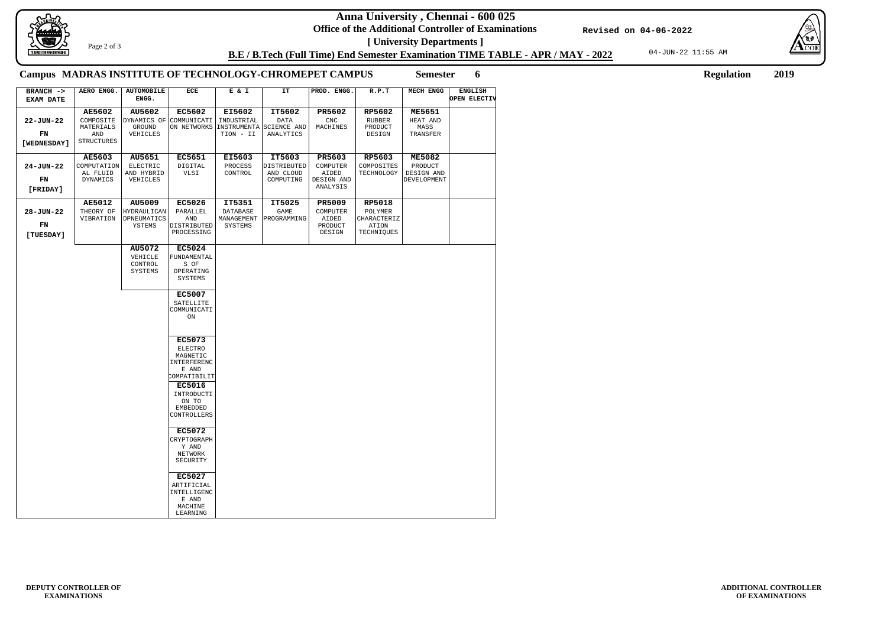**Anna University , Chennai - 600 025**

**Office of the Additional Controller of Examinations [ University Departments ]**

04-JUN-22 11:55 AM



**ADDITIONAL CONTROLLER OF EXAMINATIONS**

**B.E / B.Tech (Full Time) End Semester Examination TIME TABLE - APR / MAY - 2022**

**Revised on 04-06-2022**



Page 2 of 3

**Semester 6 Regulation 2019**

## **Campus MADRAS INSTITUTE OF TECHNOLOGY-CHROMEPET CAMPUS**

**22-JUN-22 24-JUN-22 28-JUN-22 AERO ENGG. AUTOMOBILE ENGG. ECE E & I IT PROD. ENGG. R.P.T MECH ENGG ENGLISH OPEN ELECTIV AE5602 AU5602 EC5602 EI5602 IT5602 PR5602 RP5602 ME5651 AE5603 AU5651 EC5651 EI5603 IT5603 PR5603 RP5603 ME5082 AE5012 AU5009 AU5072 EC5026 EC5024 EC5007 EC5073 EC5016 EC5072 EC5027 IT5351 IT5025 PR5009 RP5018 BRANCH -> EXAM DATE [WEDNESDAY] [FRIDAY] [TUESDAY]** COMPOSITE MATERIALS AND STRUCTURES DYNAMICS OF GROUND VEHICLES COMMUNICATI ON NETWORKS INDUSTRIAL INSTRUMENTA TION - II DATA SCIENCE AND ANALYTICS CNC MACHINES RUBBER PRODUCT DESIGN HEAT AND MASS TRANSFER COMPUTATION AL FLUID DYNAMICS ELECTRIC AND HYBRID VEHICLES DIGITAL VLSI PROCESS CONTROL DISTRIBUTED AND CLOUD COMPUTING COMPUTER AIDED DESIGN AND ANALYSIS COMPOSITES TECHNOLOGY PRODUCT DESIGN AND DEVELOPMENT THEORY OF VIBRATION HYDRAULICAN DPNEUMATICS YSTEMS VEHICLE CONTROL SYSTEMS PARALLEL AND DISTRIBUTED PROCESSING 'UNDAMENTAL S OF OPERATING SYSTEMS SATELLITE COMMUNICATI ON ELECTRO MAGNETIC INTERFERENC E AND COMPATIBILIT INTRODUCTI ON TO EMBEDDED CONTROLLERS CRYPTOGRAPH Y AND NETWORK SECURITY ARTIFICIAL INTELLIGENC E AND MACHINE LEARNING DATABASE MANAGEMENT SYSTEMS GAME PROGRAMMING COMPUTER AIDED PRODUCT DESIGN POLYMER 'HARACTERIZ ATION TECHNIQUES **FN FN FN**